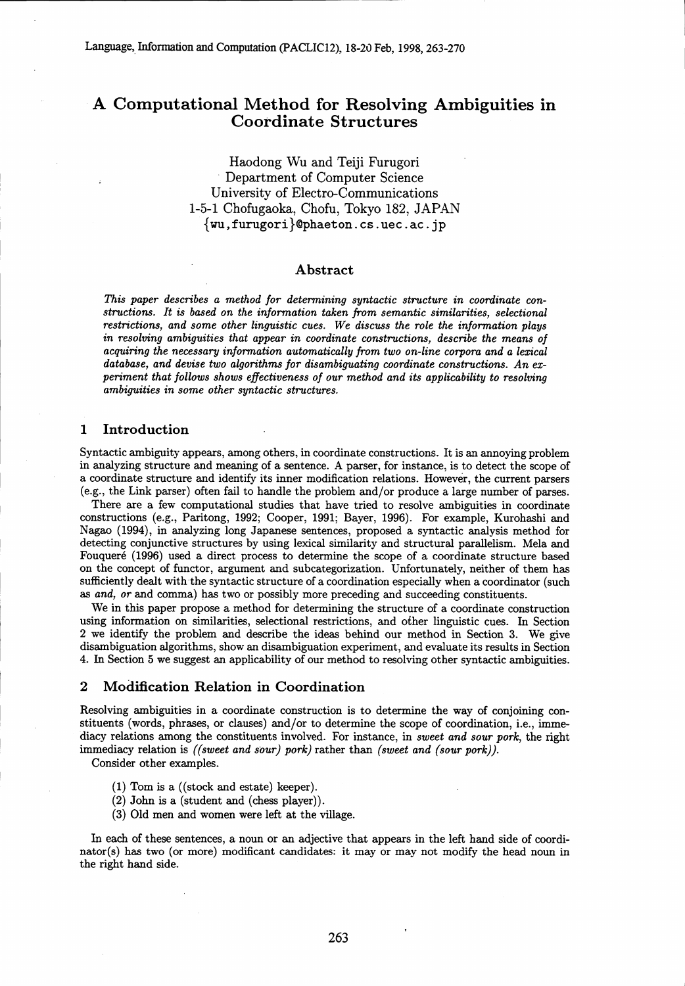# A Computational Method for Resolving Ambiguities in Coordinate Structures

Haodong Wu and Teiji Furugori Department of Computer Science University of Electro-Communications 1-5-1 Chofugaoka, Chofu, Tokyo 182, JAPAN  $\{wu,furugori\}$ @phaeton.cs.uec.ac.jp

### Abstract

*This paper describes a method for determining syntactic structure in coordinate constructions. It is based on the information taken from semantic similarities, selectional restrictions, and some other linguistic cues. We discuss the role the information plays in resolving ambiguities that appear in coordinate constructions, describe the means of acquiring the necessary information automatically from two on-line corpora and a lexical database, and devise two algorithms for disambiguating coordinate constructions. An experiment that follows shows effectiveness of our method and its applicability to resolving ambiguities in some other syntactic structures.*

# 1 Introduction

Syntactic ambiguity appears, among others, in coordinate constructions. It is an annoying problem in analyzing structure and meaning of a sentence. A parser, for instance, is to detect the scope of a coordinate structure and identify its inner modification relations. However, the current parsers (e.g., the Link parser) often fail to handle the problem and/or produce a large number of parses.

There are a few computational studies that have tried to resolve ambiguities in coordinate constructions (e.g., Paritong, 1992; Cooper, 1991; Bayer, 1996). For example, Kurohashi and Nagao (1994), in analyzing long Japanese sentences, proposed a syntactic analysis method for detecting conjunctive structures by using lexical similarity and structural parallelism. Mela and Fouqueré (1996) used a direct process to determine the scope of a coordinate structure based on the concept of functor, argument and subcategorization. Unfortunately, neither of them has sufficiently dealt with the syntactic structure of a coordination especially when a coordinator (such as *and, or* and comma) has two or possibly more preceding and succeeding constituents.

We in this paper propose a method for determining the structure of a coordinate construction using information on similarities, selectional restrictions, and other linguistic cues. In Section 2 we identify the problem and describe the ideas behind our method in Section 3. We give disambiguation algorithms, show an disambiguation experiment, and evaluate its results in Section 4. In Section 5 we suggest an applicability of our method to resolving other syntactic ambiguities.

# 2 Modification Relation in Coordination

Resolving ambiguities in a coordinate construction is to determine the way of conjoining constituents (words, phrases, or clauses) and/or to determine the scope of coordination, i.e., immediacy relations among the constituents involved. For instance, in *sweet and sour pork,* the right immediacy relation is *((sweet and sour) pork)* rather than *(sweet and (sour pork)).*

Consider other examples.

- (1) Tom is a ((stock and estate) keeper).
- (2) John is a (student and (chess player)).
- (3) Old men and women were left at the village.

In each of these sentences, a noun or an adjective that appears in the left hand side of coordinator(s) has two (or more) modificant candidates: it may or may not modify the head noun in the right hand side.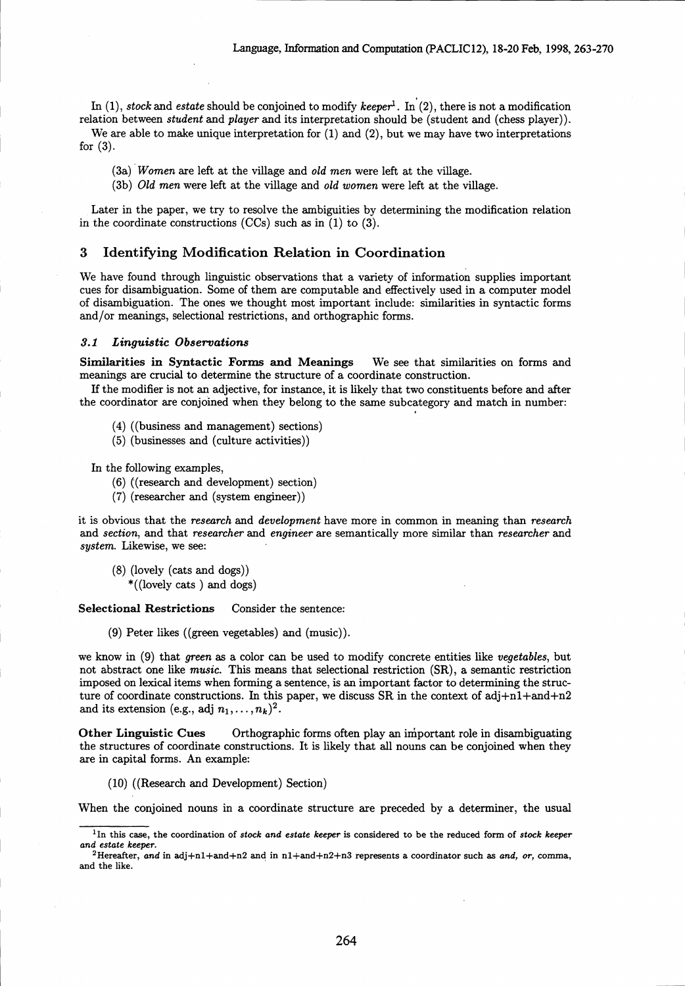In  $(1)$ , *stock* and *estate* should be conjoined to modify *keeper*<sup>1</sup>. In  $(2)$ , there is not a modification relation between *student* and *player* and its interpretation should be (student and (chess player)).

We are able to make unique interpretation for  $(1)$  and  $(2)$ , but we may have two interpretations for (3).

*(3a) Women* are left at the village and *old men* were left at the village.

*(3b) Old men* were left at the village and *old women* were left at the village.

Later in the paper, we try to resolve the ambiguities by determining the modification relation in the coordinate constructions  $(CCs)$  such as in  $(1)$  to  $(3)$ .

### 3 Identifying Modification Relation in Coordination

We have found through linguistic observations that a variety of information supplies important cues for disambiguation. Some of them are computable and effectively used in a computer model of disambiguation. The ones we thought most important include: similarities in syntactic forms and/or meanings, selectional restrictions, and orthographic forms.

### *3.1 Linguistic Observations*

*Similarities in Syntactic* Forms and Meanings We see that similarities on forms and meanings are crucial to determine the structure of a coordinate construction.

If the modifier is not an adjective, for instance, it is likely that two constituents before and after the coordinator are conjoined when they belong to the same subcategory and match in number:

- (4) ((business and management) sections)
- (5) (businesses and (culture activities))

In the following examples,

- (6) ((research and development) section)
- (7) (researcher and (system engineer))

it is obvious that the *research* and *development* have more in common in meaning than *research* and *section,* and that *researcher* and *engineer* are semantically more similar than *researcher* and *system.* Likewise, we see:

(8) (lovely (cats and dogs))

\*((lovely cats ) and dogs)

Selectional Restrictions Consider the sentence:

(9) Peter likes ((green vegetables) and (music)).

we know in (9) that *green as* a color can be used to modify concrete entities like *vegetables,* but not abstract one like music. This means that selectional restriction (SR), a semantic restriction imposed on lexical items when forming a sentence, is an important factor to determining the structure of coordinate constructions. In this paper, we discuss SR in the context of adj $+n1+$ and $+n2$ and its extension (e.g., adj  $n_1, \ldots, n_k$ )<sup>2</sup>.

Other Linguistic Cues Orthographic forms often play an important role in disambiguating the structures of coordinate constructions. It is likely that all nouns can be conjoined when they are in capital forms. An example:

(10) ((Research and Development) Section)

When the conjoined nouns in a coordinate structure are preceded by a determiner, the usual

<sup>1</sup> In this case, the coordination of *stock and estate keeper* is considered to be the reduced form of *stock keeper and estate* keeper.

<sup>&</sup>lt;sup>2</sup>Hereafter, and in adj+n1+and+n2 and in n1+and+n2+n3 represents a coordinator such as and, or, comma, and the like.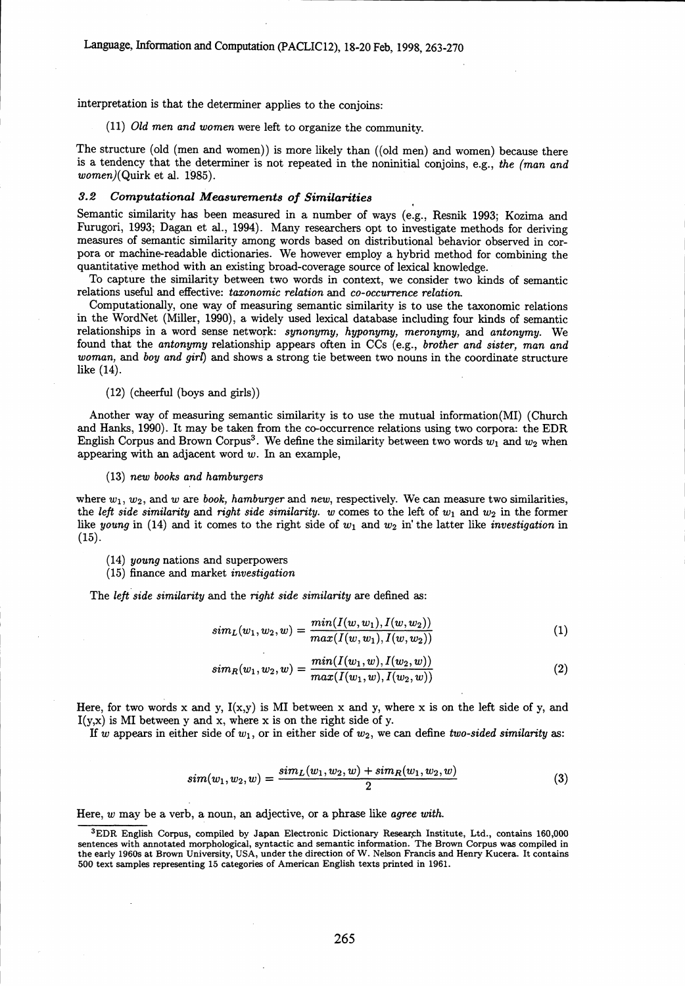interpretation is that the determiner applies to the conjoins:

*(11) Old men and women* were left to organize the community.

The structure (old (men and women)) is more likely than ((old men) and women) because there is a tendency that the determiner is not repeated in the noninitial conjoins, e.g., *the (man and* women)(Quirk et al. 1985).

### *3.2 Computational Measurements of Similarities*

Semantic similarity has been measured in a number of ways (e.g., Resnik 1993; Kozima and Furugori, 1993; Dagan et al., 1994). Many researchers opt to investigate methods for deriving measures of semantic similarity among words based on distributional behavior observed in corpora or machine-readable dictionaries. We however employ a hybrid method for combining the quantitative method with an existing broad-coverage source of lexical knowledge.

To capture the similarity between two words in context, we consider two kinds of semantic relations useful and effective: *taxonomic relation* and *co-occurrence relation.*

Computationally, one way of measuring semantic similarity is to use the taxonomic relations in the WordNet (Miller, 1990), a widely used lexical database including four kinds of semantic relationships in a word sense network: *synonymy, hyponymy,* meronymy, and *antonymy.* We found that the *antonymy* relationship appears often in CCs (e.g., *brother and sister, man and woman,* and *boy and girl)* and shows a strong tie between two nouns in the coordinate structure like (14).

### (12) (cheerful (boys and girls))

Another way of measuring semantic similarity is to use the mutual information(MI) (Church and Hanks, 1990). It may be taken from the co-occurrence relations using two corpora: the EDR English Corpus and Brown Corpus<sup>3</sup>. We define the similarity between two words  $w_1$  and  $w_2$  when appearing with an adjacent word  $w$ . In an example,

#### (13) new *books and hamburgers*

where  $w_1, w_2$ , and  $w$  are *book, hamburger* and *new*, respectively. We can measure two similarities, the *left side similarity* and *right side similarity.* w comes to the left of  $w_1$  and  $w_2$  in the former like *young* in (14) and it comes to the right side of  $w_1$  and  $w_2$  in' the latter like *investigation* in  $(15).$ 

- *(14) young* nations and superpowers
- (15) finance and market *investigation*

The *left side similarity* and the *right side similarity* are defined as:

$$
sim_L(w_1, w_2, w) = \frac{min(I(w, w_1), I(w, w_2))}{max(I(w, w_1), I(w, w_2))}
$$
\n(1)

$$
sim_R(w_1, w_2, w) = \frac{min(I(w_1, w), I(w_2, w))}{max(I(w_1, w), I(w_2, w))}
$$
\n(2)

Here, for two words x and y,  $I(x,y)$  is MI between x and y, where x is on the left side of y, and  $I(y,x)$  is MI between y and x, where x is on the right side of y.

If w appears in either side of  $w_1$ , or in either side of  $w_2$ , we can define *two-sided similarity* as:

$$
sim(w_1, w_2, w) = \frac{sim_L(w_1, w_2, w) + sim_R(w_1, w_2, w)}{2}
$$
\n(3)

Here, *w* may be a verb, a noun, an adjective, or a phrase like *agree with.*

<sup>3</sup>EDR English Corpus, compiled by Japan Electronic Dictionary Research Institute, Ltd., contains 160,000 sentences with annotated morphological, syntactic and semantic information. The Brown Corpus was compiled in the early 1960s at Brown University, USA, under the direction of W. Nelson Francis and Henry Kucera. It contains 500 text samples representing 15 categories of American English texts printed in 1961.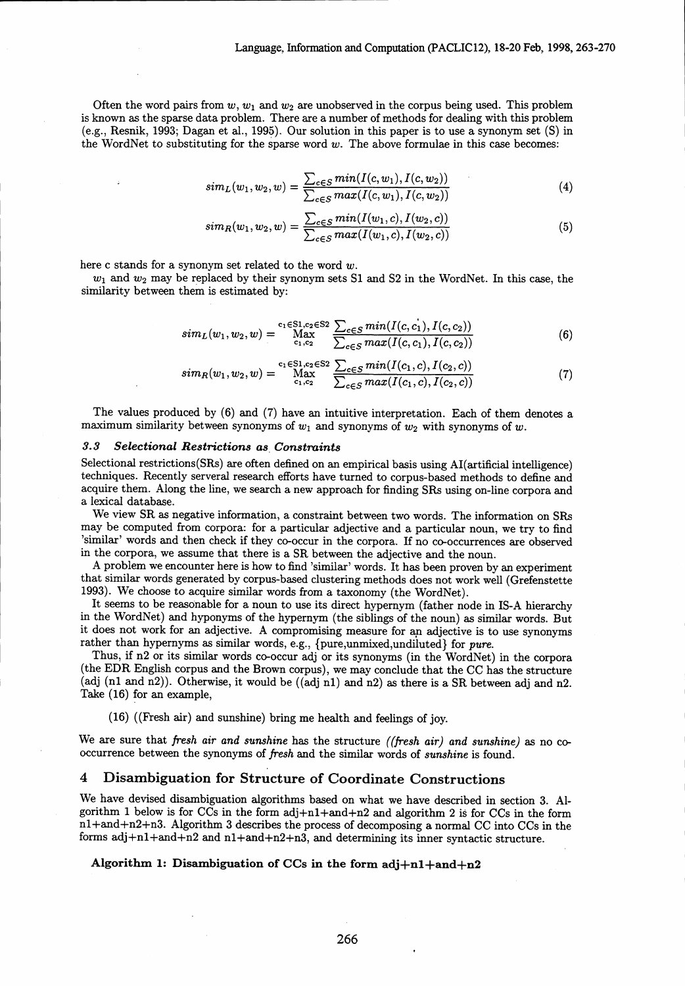Often the word pairs from  $w, w_1$  and  $w_2$  are unobserved in the corpus being used. This problem is known as the sparse data problem. There are a number of methods for dealing with this problem (e.g., Resnik, 1993; Dagan et al., 1995). Our solution in this paper is to use a synonym set (S) in the WordNet to substituting for the sparse word *w.* The above formulae in this case becomes:

$$
sim_L(w_1, w_2, w) = \frac{\sum_{c \in S} min(I(c, w_1), I(c, w_2))}{\sum_{c \in S} max(I(c, w_1), I(c, w_2))}
$$
\n(4)

$$
sim_R(w_1, w_2, w) = \frac{\sum_{c \in S} min(I(w_1, c), I(w_2, c))}{\sum_{c \in S} max(I(w_1, c), I(w_2, c))}
$$
(5)

here c stands for a synonym set related to the word w.

 $w_1$  and  $w_2$  may be replaced by their synonym sets S1 and S2 in the WordNet. In this case, the similarity between them is estimated by:

$$
sim_L(w_1, w_2, w) = \max_{c_1, c_2}^{c_1 \in S1, c_2 \in S2} \frac{\sum_{c \in S} min(I(c, c_1), I(c, c_2))}{\sum_{c \in S} max(I(c, c_1), I(c, c_2))}
$$
(6)

$$
sim_R(w_1, w_2, w) = \max_{c_1, c_2}^{c_1 \in S1, c_2 \in S2} \frac{\sum_{c \in S} min(I(c_1, c), I(c_2, c))}{\sum_{c \in S} max(I(c_1, c), I(c_2, c))}
$$
(7)

The values produced by (6) and (7) have an intuitive interpretation. Each of them denotes a maximum similarity between synonyms of  $w_1$  and synonyms of  $w_2$  with synonyms of  $w$ .

# *3.3 Selectional Restrictions as Constraints*

Selectional restrictions(SRs) are often defined on an empirical basis using AI(artificial intelligence) techniques. Recently serveral research efforts have turned to corpus-based methods to define and acquire them. Along the line, we search a new approach for finding SRs using on-line corpora and a lexical database.

We view SR as negative information, a constraint between two words. The information on SRs may be computed from corpora: for a particular adjective and a particular noun, we try to find 'similar' words and then check if they co-occur in the corpora. If no co-occurrences are observed in the corpora, we assume that there is a SR between the adjective and the noun.

A problem we encounter here is how to find 'similar' words. It has been proven by an experiment that similar words generated by corpus-based clustering methods does not work well (Grefenstette 1993). We choose to acquire similar words from a taxonomy (the WordNet).

It seems to be reasonable for a noun to use its direct hypernym (father node in IS-A hierarchy in the WordNet) and hyponyms of the hypernym (the siblings of the noun) as similar words. But it does not work for an adjective. A compromising measure for an adjective is to use synonyms rather than hypernyms as similar words, e.g., {pure,unmixed,undiluted} for pure.

Thus, if n2 or its similar words co-occur adj or its synonyms (in the WordNet) in the corpora (the EDR English corpus and the Brown corpus), we may conclude that the CC has the structure (adj (n1 and n2)). Otherwise, it would be ((adj n1) and n2) as there is a SR between adj and n2. Take (16) for an example,

(16) ((Fresh air) and sunshine) bring me health and feelings of joy.

We are sure that *fresh air and sunshine has* the structure *((fresh air) and sunshine) as* no cooccurrence between the synonyms of *fresh* and the similar words of *sunshine* is found.

# 4 Disambiguation for Structure of Coordinate Constructions

We have devised disambiguation algorithms based on what we have described in section 3. Algorithm 1 below is for CCs in the form adj+n1+and+n2 and algorithm 2 is for CCs in the form nl+and+n2+n3. Algorithm 3 describes the process of decomposing a normal CC into CCs in the forms adj+nl+and+n2 and n1+and+n2+n3, and determining its inner syntactic structure.

### Algorithm 1: Disambiguation of CCs in the form  $adi+n1+and+n2$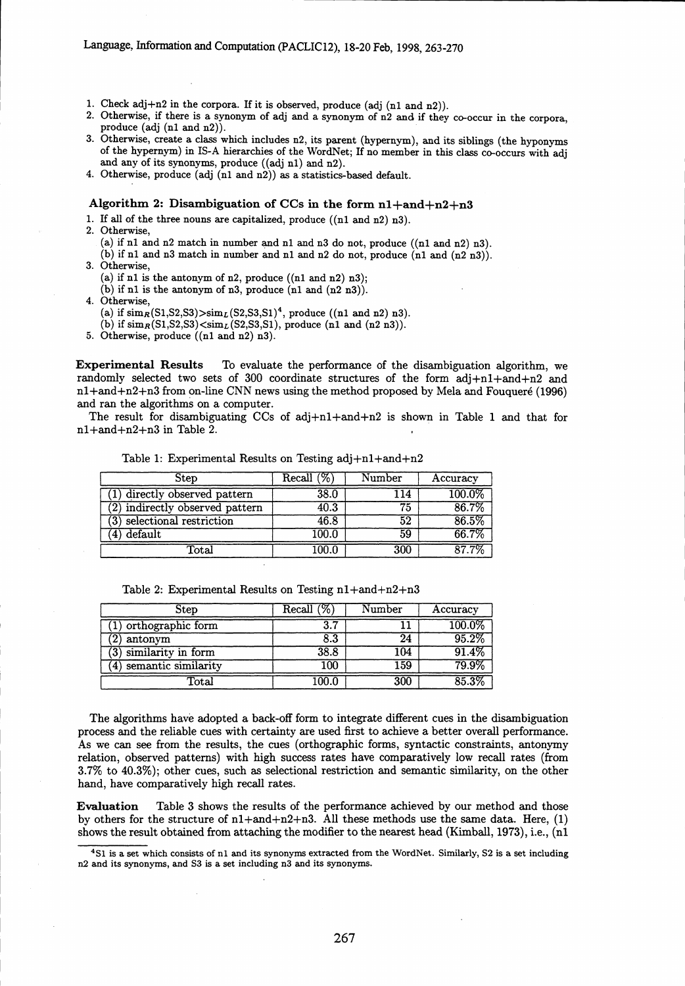- 1. Check adj+n2 in the corpora. If it is observed, produce (adj (n1 and n2)).
- 2. Otherwise, if there is a synonym of adj and a synonym of n2 and if they co-occur in the corpora, produce (adj (n1 and n2)).
- 3. Otherwise, create a class which includes n2, its parent (hypernym), and its siblings (the hyponyms of the hypernym) in IS-A hierarchies of the WordNet; If no member in this class co-occurs with adj and any of its synonyms, produce ((adj n1) and n2).
- 4. Otherwise, produce (adj (n1 and n2)) as a statistics-based default.

# Algorithm 2: Disambiguation of CCs in the form  $n1+and+n2+n3$

1. If all of the three nouns are capitalized, produce ((nl and n2) n3).

- 2. Otherwise,
	- (a) if n1 and n2 match in number and n1 and n3 do not, produce  $((n1 and n2) n3)$ .

(b) if n1 and n3 match in number and n1 and n2 do not, produce  $(n1 \text{ and } (n2 \text{ n}3))$ .

3. Otherwise,

(a) if  $n1$  is the antonym of  $n2$ , produce  $((n1 and n2) n3);$ 

- $(b)$  if n1 is the antonym of n3, produce (n1 and  $(n2 n3)$ ).
- 4. Otherwise,
	- (a) if  $\text{sim}_{R}(\text{S1},\text{S2},\text{S3})>\text{sim}_{L}(\text{S2},\text{S3},\text{S1})^{4}$ , produce ((n1 and n2) n3).

(b) if  $\text{sim}_{R}(\text{S1},\text{S2},\text{S3})<\text{sim}_{L}(\text{S2},\text{S3},\text{S1})$ , produce (n1 and (n2 n3)).

5. Otherwise, produce ((nl and n2) n3).

Experimental Results To evaluate the performance of the disambiguation algorithm, we randomly selected two sets of 300 coordinate structures of the form  $adi+n1+and+n2$  and nl+and+n2+n3 from on-line CNN news using the method proposed by Mela and Fouquere (1996) and ran the algorithms on a computer.

The result for disambiguating CCs of adj+nl+and+n2 is shown in Table 1 and that for nl+and+n2+n3 in Table 2.

Table 1: Experimental Results on Testing adj+nl+and+n2

| Step                            | Recall $(\%)$ | Number | Accuracy |
|---------------------------------|---------------|--------|----------|
| directly observed pattern       | 38.0          | 114    | 100.0%   |
| (2) indirectly observed pattern | 40.3          | 75     | 86.7%    |
| (3) selectional restriction     | 46.8          | 52     | 86.5%    |
| default<br>(4)                  | 100.0         | 59     | 66.7%    |
| $_{\rm Total}$                  | 100.0         | 300    | $87.7\%$ |

Table 2: Experimental Results on Testing  $n1+and+n2+n3$ 

| Step                      | Recall $(\%)$ | Number | Accuracy            |
|---------------------------|---------------|--------|---------------------|
| orthographic form         | 3.7           |        | 100.0%              |
| antonym                   | 8.3           | 24     | 95.2%               |
| similarity in form        | 38.8          | 104    | $91.\overline{4}\%$ |
| semantic similarity<br>4) | 100           | 159    | 79.9%               |
| $\mathtt{Total}$          | .00.0         | 300    | 85.3%               |

The algorithms have adopted a back-off form to integrate different cues in the disambiguation process and the reliable cues with certainty are used first to achieve a better overall performance. As we can see from the results, the cues (orthographic forms, syntactic constraints, antonymy relation, observed patterns) with high success rates have comparatively low recall rates (from 3.7% to 40.3%); other cues, such as selectional restriction and semantic similarity, on the other hand, have comparatively high recall rates.

Evaluation Table 3 shows the results of the performance achieved by our method and those by others for the structure of  $n1+and+n2+n3$ . All these methods use the same data. Here, (1) shows the result obtained from attaching the modifier to the nearest head (Kimball, 1973), i.e., (n1

<sup>&</sup>lt;sup>4</sup>S1 is a set which consists of n1 and its synonyms extracted from the WordNet. Similarly, S2 is a set including n2 and its synonyms, and S3 is a set including n3 and its synonyms.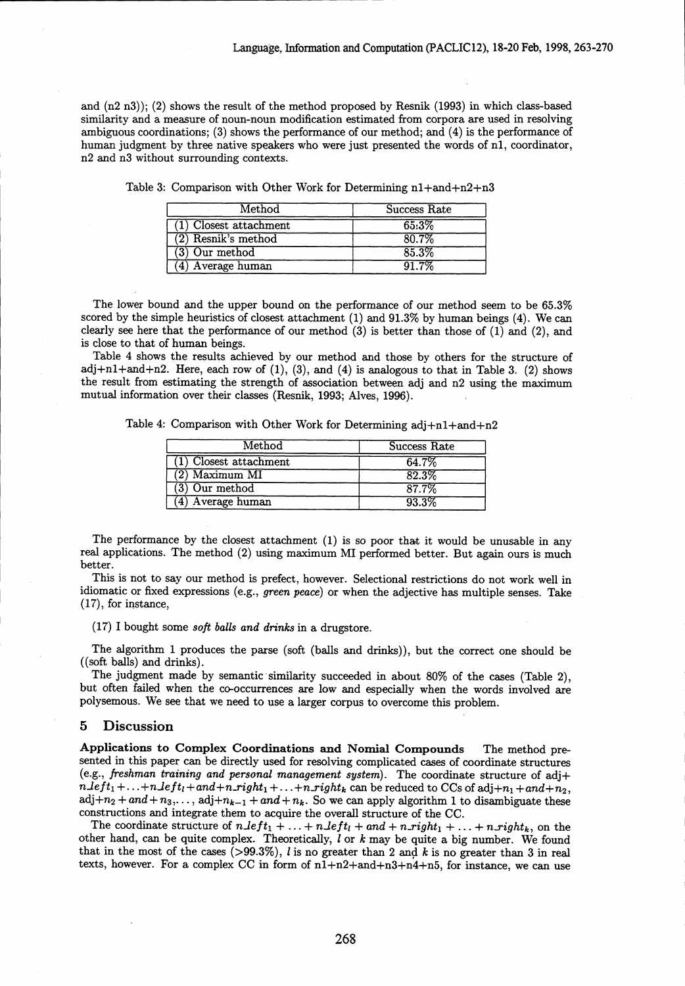and (n2 n3)); (2) shows the result of the method proposed by Resnik (1993) in which class-based similarity and a measure of noun-noun modification estimated from corpora are used in resolving ambiguous coordinations; (3) shows the performance of our method; and (4) is the performance of human judgment by three native speakers who were just presented the words of nl, coordinator, n2 and n3 without surrounding contexts.

| $\operatorname{Method}$  | Success Rate |
|--------------------------|--------------|
| $(1)$ Closest attachment | 65:3%        |
| $(2)$ Resnik's method    | 80.7%        |
| (3) Our method           | 85.3%        |
| '4) Average human        | 91 7%        |

Table 3: Comparison with Other Work for Determining  $n1+$ and+n2+n3

The lower bound and the upper bound on the performance of our method seem to be 65.3% scored by the simple heuristics of closest attachment (1) and 91.3% by human beings (4). We can clearly see here that the performance of our method  $(3)$  is better than those of  $(1)$  and  $(2)$ , and is close to that of human beings.

Table 4 shows the results achieved by our method and those by others for the structure of adj+n1+and+n2. Here, each row of  $(1)$ ,  $(3)$ , and  $(4)$  is analogous to that in Table 3.  $(2)$  shows the result from estimating the strength of association between adj and n2 using the maximum mutual information over their classes (Resnik, 1993; Alves, 1996).

Table 4: Comparison with Other Work for Determining adj+nl+and+n2

| Method                 | Success Rate |
|------------------------|--------------|
| (1) Closest attachment | 64.7%        |
| $(2)$ Maximum MI       | 82.3%        |
| $(3)$ Our method       | 87.7%        |
| (4) Average human      | 93.3%        |

The performance by the closest attachment (1) is so poor that it would be unusable in any real applications. The method (2) using maximum MI performed better. But again ours is much better.

This is not to say our method is prefect, however. Selectional restrictions do not work well in idiomatic or fixed expressions (e.g., green *peace)* or when the adjective has multiple senses. Take (17), for instance,

(17) I bought some *soft balls and drinks* in a drugstore.

The algorithm 1 produces the parse (soft (balls and drinks)), but the correct one should be ((soft balls) and drinks).

The judgment made by semantic similarity succeeded in about 80% of the cases (Table 2), but often failed when the co-occurrences are low and especially when the words involved are polysemous. We see that we need to use a larger corpus to overcome this problem.

### 5 Discussion

Applications to Complex Coordinations and Nomial Compounds The method presented in this paper can be directly used for resolving complicated cases of coordinate structures (e.g., *freshman training and personal management system).* The coordinate structure of adj+  $nLeft_1 + ... + nLeft_t + and + n\_right_1 + ... + n\_right_k$  can be reduced to CCs of adj $+n_1 + and + n_2$ ,  $adj+n_2+and+n_3,\ldots, adj+n_{k-1}+and+n_k$ . So we can apply algorithm 1 to disambiguate these constructions and integrate them to acquire the overall structure of the CC.

The coordinate structure of  $n\text{.left} + n\text{.right} + n\text{.left} + n\text{.right} + n\text{.right}$ , on the other hand, can be quite complex. Theoretically, *1* or *k* may be quite a big number. We found that in the most of the cases  $(>99.3\%)$ , *l* is no greater than 2 and *k* is no greater than 3 in real texts, however. For a complex CC in form of  $n1+n2+and+n3+n4+n5$ , for instance, we can use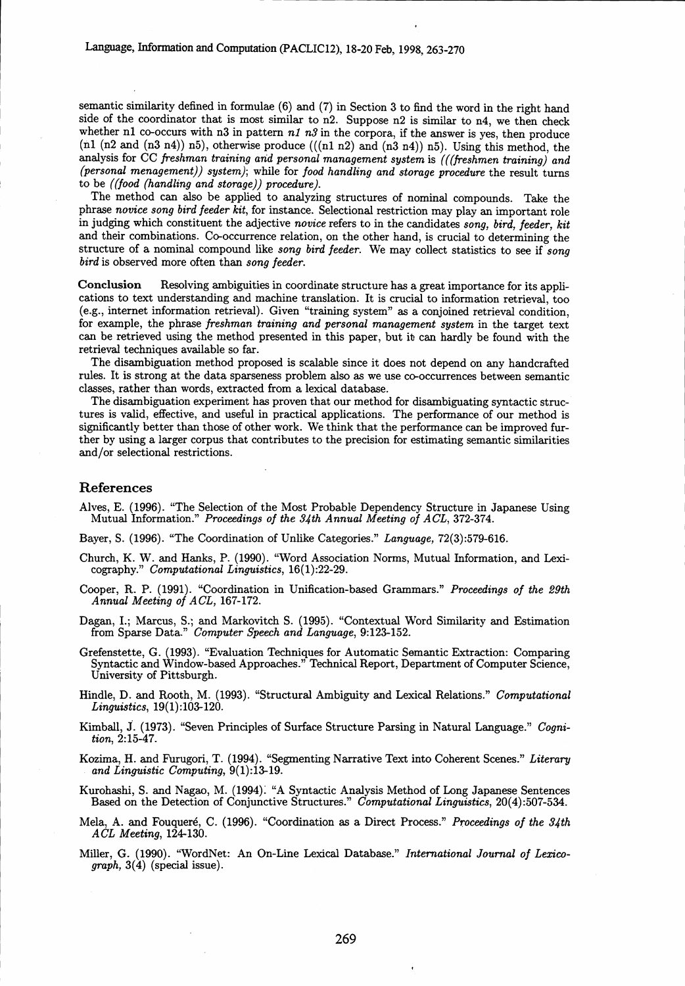semantic similarity defined in formulae (6) and (7) in Section 3 to find the word in the right hand side of the coordinator that is most similar to n2. Suppose n2 is similar to n4, we then check whether n1 co-occurs with n3 in pattern  $n1 n3$  in the corpora, if the answer is yes, then produce (n1 (n2 and (n3 n4)) n5), otherwise produce  $(((n1 n2)$  and  $(n3 n4))$  n5). Using this method, the analysis for CC *freshman training and personal management system* is *(((freshmen training) and (personal menagement)) system);* while for *food handling and storage procedure* the result turns to be *((food (handling and storage)) procedure).*

The method can also be applied to analyzing structures of nominal compounds. Take the phrase *novice song bird feeder kit,* for instance. Selectional restriction may play an important role in judging which constituent the adjective *novice* refers to in the candidates *song, bird, feeder, kit* and their combinations. Co-occurrence relation, on the other hand, is crucial to determining the structure of a nominal compound like *song bird feeder.* We may collect statistics to see if *song bird* is observed more often than *song feeder.*

Conclusion Resolving ambiguities in coordinate structure has a great importance for its applications to text understanding and machine translation. It is crucial to information retrieval, too (e.g., internet information retrieval). Given "training system" as a conjoined retrieval condition, for example, the phrase *freshman training and personal management system* in the target text can be retrieved using the method presented in this paper, but it can hardly be found with the retrieval techniques available so far.

The disambiguation method proposed is scalable since it does not depend on any handcrafted rules. It is strong at the data sparseness problem also as we use co-occurrences between semantic classes, rather than words, extracted from a lexical database.

The disambiguation experiment has proven that our method for disambiguating syntactic structures is valid, effective, and useful in practical applications. The performance of our method is significantly better than those of other work. We think that the performance can be improved further by using a larger corpus that contributes to the precision for estimating semantic similarities and/or selectional restrictions.

### References

Alves, E. (1996). "The Selection of the Most Probable Dependency Structure in Japanese Using Mutual Information." *Proceedings of the 34th Annual Meeting of ACL,* 372-374.

Bayer, S. (1996). "The Coordination of Unlike Categories." *Language,* 72(3):579-616.

- Church, K. W. and Hanks, P. (1990). "Word Association Norms, Mutual Information, and Lexicography." *Computational Linguistics,* 16(1):22-29.
- Cooper, R. P. (1991). "Coordination in Unification-based Grammars." *Proceedings of the 29th Annual Meeting of ACL,* 167-172.

Dagan, I.; Marcus, S.; and Markovitch S. (1995). "Contextual Word Similarity and Estimation from Sparse Data." *Computer Speech and Language,* 9:123-152.

- Grefenstette, G. (1993). "Evaluation Techniques for Automatic Semantic Extraction: Comparing Syntactic and Window-based Approaches." Technical Report, Department of Computer Science, University of Pittsburgh.
- Hindle, D. and Rooth, M. (1993). "Structural Ambiguity and Lexical Relations." *Computational Linguistics,* 19(1):103-120.
- Kimball, S. (1973). "Seven Principles of Surface Structure Parsing in Natural Language." *Cognition,* 2:15-47.
- Kozima, H. and Furugori, T. (1994). "Segmenting Narrative Text into Coherent Scenes." *Literary and Linguistic Computing,* 9(1):13-19.
- Kurohashi, S. and Nagao, M. (1994): "A Syntactic Analysis Method of Long Japanese Sentences Based on the Detection of Conjunctive Structures." *Computational Linguistics,* 20(4):507-534.
- Mela, A. and Fouquere, C. (1996). "Coordination as a Direct Process." *Proceedings of the 34th ACL Meeting,* 124-130.
- Miller, G. (1990). "WordNet: An On-Line Lexical Database." *International Journal of Lexicograph,* 3(4) (special issue).